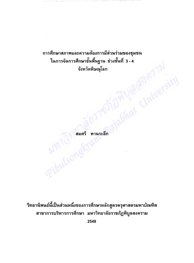การศึกษาสภาพและความต้องการมีส่วนร่วมของชุมชน ในการจัดการศึกษาขั้นพื้นฐาน ช่วงชั้นที่ 3 - 4 Molelmy @ alminersi จังหวัดพิษณุโลก

PibulsongKramisean

วิทยานิพนธ์นี้เป็นส่วนหนึ่งของการศึกษาหลักสูตรครุศาสตรมหาบัณฑิต สาขาการบริหารการศึกษา มหาวิทยาลัยราชภัฏพิบูลสงคราม

2549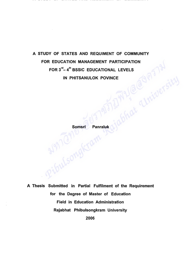## A STUDY OF STATES AND REQUIMENT OF COMMUNITY FOR EDUCATION MANAGEMENT PARTICIPATION<br>FOR 3<sup>rd</sup>-4<sup>th</sup> BSSIC EDUCATIONAL LEVELS<br>IN PHITSANULOK POVINCE FOR 3<sup>rd</sup>-4<sup>th</sup> BSSIC EDUCATIONAL LEVELS IN PHITSANULOK POVINCE

Somsri Panraluk

A Thesis Submitted in Partial Fulfilment of the Requirement for the Degree of Master of Education Field in Education Administration Rajabhat Phibulsongkram University 2006